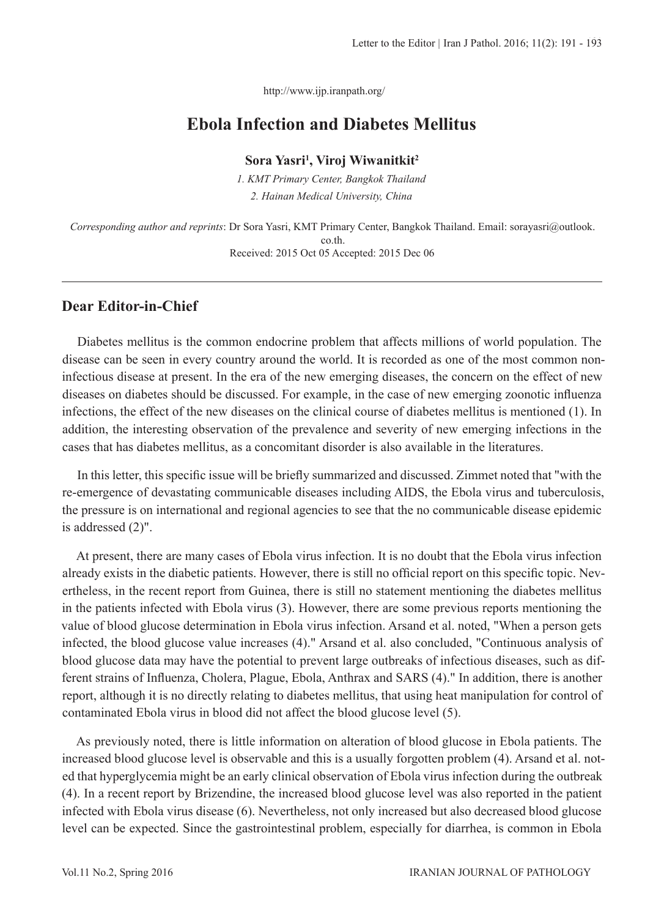http://www.ijp.iranpath.org/

# **Ebola Infection and Diabetes Mellitus**

**Sora Yasri1 , Viroj Wiwanitkit2**

*1. KMT Primary Center, Bangkok Thailand 2. Hainan Medical University, China*

*Corresponding author and reprints*: Dr Sora Yasri, KMT Primary Center, Bangkok Thailand. Email: sorayasri@outlook. co.th. Received: 2015 Oct 05 Accepted: 2015 Dec 06

## **Dear Editor-in-Chief**

Diabetes mellitus is the common endocrine problem that affects millions of world population. The disease can be seen in every country around the world. It is recorded as one of the most common noninfectious disease at present. In the era of the new emerging diseases, the concern on the effect of new diseases on diabetes should be discussed. For example, in the case of new emerging zoonotic influenza infections, the effect of the new diseases on the clinical course of diabetes mellitus is mentioned (1). In addition, the interesting observation of the prevalence and severity of new emerging infections in the cases that has diabetes mellitus, as a concomitant disorder is also available in the literatures.

In this letter, this specific issue will be briefly summarized and discussed. Zimmet noted that "with the re-emergence of devastating communicable diseases including AIDS, the Ebola virus and tuberculosis, the pressure is on international and regional agencies to see that the no communicable disease epidemic is addressed (2)".

At present, there are many cases of Ebola virus infection. It is no doubt that the Ebola virus infection already exists in the diabetic patients. However, there is still no official report on this specific topic. Nevertheless, in the recent report from Guinea, there is still no statement mentioning the diabetes mellitus in the patients infected with Ebola virus (3). However, there are some previous reports mentioning the value of blood glucose determination in Ebola virus infection. Arsand et al. noted, "When a person gets infected, the blood glucose value increases (4)." Arsand et al. also concluded, "Continuous analysis of blood glucose data may have the potential to prevent large outbreaks of infectious diseases, such as different strains of Influenza, Cholera, Plague, Ebola, Anthrax and SARS (4)." In addition, there is another report, although it is no directly relating to diabetes mellitus, that using heat manipulation for control of contaminated Ebola virus in blood did not affect the blood glucose level (5).

As previously noted, there is little information on alteration of blood glucose in Ebola patients. The increased blood glucose level is observable and this is a usually forgotten problem (4). Arsand et al. noted that hyperglycemia might be an early clinical observation of Ebola virus infection during the outbreak (4). In a recent report by Brizendine, the increased blood glucose level was also reported in the patient infected with Ebola virus disease (6). Nevertheless, not only increased but also decreased blood glucose level can be expected. Since the gastrointestinal problem, especially for diarrhea, is common in Ebola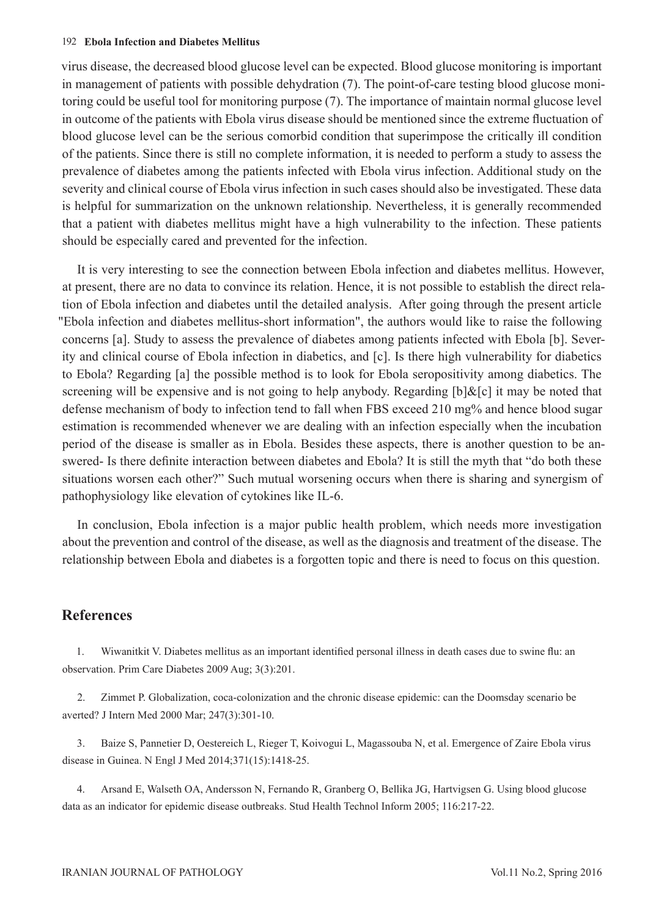#### 192 **Ebola Infection and Diabetes Mellitus**

virus disease, the decreased blood glucose level can be expected. Blood glucose monitoring is important in management of patients with possible dehydration (7). The point-of-care testing blood glucose monitoring could be useful tool for monitoring purpose (7). The importance of maintain normal glucose level in outcome of the patients with Ebola virus disease should be mentioned since the extreme fluctuation of blood glucose level can be the serious comorbid condition that superimpose the critically ill condition of the patients. Since there is still no complete information, it is needed to perform a study to assess the prevalence of diabetes among the patients infected with Ebola virus infection. Additional study on the severity and clinical course of Ebola virus infection in such cases should also be investigated. These data is helpful for summarization on the unknown relationship. Nevertheless, it is generally recommended that a patient with diabetes mellitus might have a high vulnerability to the infection. These patients should be especially cared and prevented for the infection.

It is very interesting to see the connection between Ebola infection and diabetes mellitus. However, at present, there are no data to convince its relation. Hence, it is not possible to establish the direct relation of Ebola infection and diabetes until the detailed analysis. After going through the present article "Ebola infection and diabetes mellitus-short information", the authors would like to raise the following concerns [a]. Study to assess the prevalence of diabetes among patients infected with Ebola [b]. Severity and clinical course of Ebola infection in diabetics, and [c]. Is there high vulnerability for diabetics to Ebola? Regarding [a] the possible method is to look for Ebola seropositivity among diabetics. The screening will be expensive and is not going to help anybody. Regarding [b]&[c] it may be noted that defense mechanism of body to infection tend to fall when FBS exceed 210 mg% and hence blood sugar estimation is recommended whenever we are dealing with an infection especially when the incubation period of the disease is smaller as in Ebola. Besides these aspects, there is another question to be answered- Is there definite interaction between diabetes and Ebola? It is still the myth that "do both these situations worsen each other?" Such mutual worsening occurs when there is sharing and synergism of pathophysiology like elevation of cytokines like IL-6.

In conclusion, Ebola infection is a major public health problem, which needs more investigation about the prevention and control of the disease, as well as the diagnosis and treatment of the disease. The relationship between Ebola and diabetes is a forgotten topic and there is need to focus on this question.

### **References**

1. Wiwanitkit V. Diabetes mellitus as an important identified personal illness in death cases due to swine flu: an observation. Prim Care Diabetes 2009 Aug; 3(3):201.

2. Zimmet P. Globalization, coca-colonization and the chronic disease epidemic: can the Doomsday scenario be averted? J Intern Med 2000 Mar; 247(3):301-10.

3. Baize S, Pannetier D, Oestereich L, Rieger T, Koivogui L, Magassouba N, et al. Emergence of Zaire Ebola virus disease in Guinea. N Engl J Med 2014;371(15):1418-25.

4. Arsand E, Walseth OA, Andersson N, Fernando R, Granberg O, Bellika JG, Hartvigsen G. Using blood glucose data as an indicator for epidemic disease outbreaks. Stud Health Technol Inform 2005; 116:217-22.